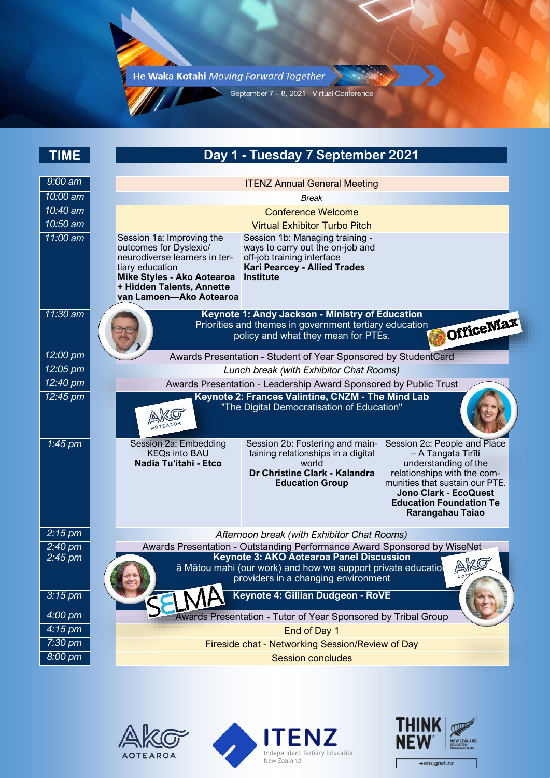He Waka Kotahi Moving Forward Together

W

September 7 - 8, 2021 | Virtual Conference

| <b>TIME</b>                            | Day 1 - Tuesday 7 September 2021                                                                                                                                                                                                                                                                                                                                                                                                                         |
|----------------------------------------|----------------------------------------------------------------------------------------------------------------------------------------------------------------------------------------------------------------------------------------------------------------------------------------------------------------------------------------------------------------------------------------------------------------------------------------------------------|
| $9:00$ am                              |                                                                                                                                                                                                                                                                                                                                                                                                                                                          |
| 10:00 am                               | <b>ITENZ Annual General Meeting</b>                                                                                                                                                                                                                                                                                                                                                                                                                      |
| 10:40 am                               | <b>Break</b><br><b>Conference Welcome</b>                                                                                                                                                                                                                                                                                                                                                                                                                |
| 10:50 am                               | <b>Virtual Exhibitor Turbo Pitch</b>                                                                                                                                                                                                                                                                                                                                                                                                                     |
| $11:00$ am                             | Session 1a: Improving the<br>Session 1b: Managing training -<br>outcomes for Dyslexic/<br>ways to carry out the on-job and<br>neurodiverse learners in ter-<br>off-job training interface<br>tiary education<br><b>Kari Pearcey - Allied Trades</b><br>Mike Styles - Ako Aotearoa<br><b>Institute</b><br>+ Hidden Talents, Annette<br>van Lamoen-Ako Aotearoa                                                                                            |
| 11:30 am                               | Keynote 1: Andy Jackson - Ministry of Education                                                                                                                                                                                                                                                                                                                                                                                                          |
|                                        | OfficeMax<br>Priorities and themes in government tertiary education<br>policy and what they mean for PTEs.                                                                                                                                                                                                                                                                                                                                               |
| 12:00 pm                               | Awards Presentation - Student of Year Sponsored by StudentCard                                                                                                                                                                                                                                                                                                                                                                                           |
| $12:05$ pm                             | Lunch break (with Exhibitor Chat Rooms)                                                                                                                                                                                                                                                                                                                                                                                                                  |
| 12:40 pm                               | Awards Presentation - Leadership Award Sponsored by Public Trust                                                                                                                                                                                                                                                                                                                                                                                         |
| 12:45 pm                               | Keynote 2: Frances Valintine, CNZM - The Mind Lab<br>"The Digital Democratisation of Education"                                                                                                                                                                                                                                                                                                                                                          |
| $1:45$ pm                              | Session 2c: People and Place<br>Session 2a: Embedding<br>Session 2b: Fostering and main-<br><b>KEQs into BAU</b><br>taining relationships in a digital<br>- A Tangata Tirīti<br>Nadia Tu'itahi - Etco<br>world<br>understanding of the<br>Dr Christine Clark - Kalandra<br>relationships with the com-<br>munities that sustain our PTE.<br><b>Education Group</b><br><b>Jono Clark - EcoQuest</b><br><b>Education Foundation Te</b><br>Rarangahau Taiao |
| $2:15$ pm                              | Afternoon break (with Exhibitor Chat Rooms)                                                                                                                                                                                                                                                                                                                                                                                                              |
| $2:40 \text{ pm}$<br>2:45 pm           | Awards Presentation - Outstanding Performance Award Sponsored by WiseNet<br><b>Keynote 3: AKO Aotearoa Panel Discussion</b><br>AKO<br>ā Mātou mahi (our work) and how we support private educatio<br>providers in a changing environment                                                                                                                                                                                                                 |
| $3:15$ pm                              | Keynote 4: Gillian Dudgeon - RoVE                                                                                                                                                                                                                                                                                                                                                                                                                        |
| $4:00 \text{ pm}$                      | Awards Presentation - Tutor of Year Sponsored by Tribal Group                                                                                                                                                                                                                                                                                                                                                                                            |
| $4:15 \text{ pm}$<br>$7:30 \text{ pm}$ | End of Day 1                                                                                                                                                                                                                                                                                                                                                                                                                                             |
| 8:00 pm                                | Fireside chat - Networking Session/Review of Day                                                                                                                                                                                                                                                                                                                                                                                                         |
|                                        | <b>Session concludes</b>                                                                                                                                                                                                                                                                                                                                                                                                                                 |